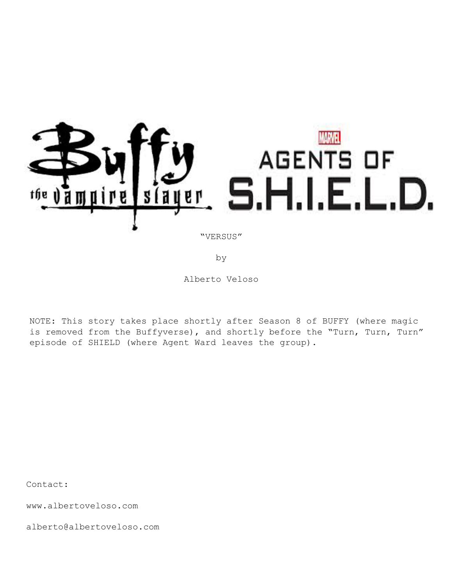

by

Alberto Veloso

NOTE: This story takes place shortly after Season 8 of BUFFY (where magic is removed from the Buffyverse), and shortly before the "Turn, Turn, Turn" episode of SHIELD (where Agent Ward leaves the group).

Contact:

www.albertoveloso.com

alberto@albertoveloso.com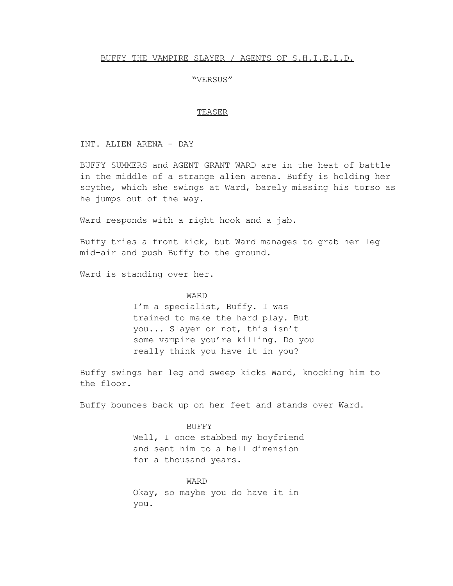# BUFFY THE VAMPIRE SLAYER / AGENTS OF S.H.I.E.L.D.

## "VERSUS"

#### TEASER

INT. ALIEN ARENA - DAY

BUFFY SUMMERS and AGENT GRANT WARD are in the heat of battle in the middle of a strange alien arena. Buffy is holding her scythe, which she swings at Ward, barely missing his torso as he jumps out of the way.

Ward responds with a right hook and a jab.

Buffy tries a front kick, but Ward manages to grab her leg mid-air and push Buffy to the ground.

Ward is standing over her.

# WARD

I'm a specialist, Buffy. I was trained to make the hard play. But you... Slayer or not, this isn't some vampire you're killing. Do you really think you have it in you?

Buffy swings her leg and sweep kicks Ward, knocking him to the floor.

Buffy bounces back up on her feet and stands over Ward.

#### BUFFY

Well, I once stabbed my boyfriend and sent him to a hell dimension for a thousand years.

WARD Okay, so maybe you do have it in you.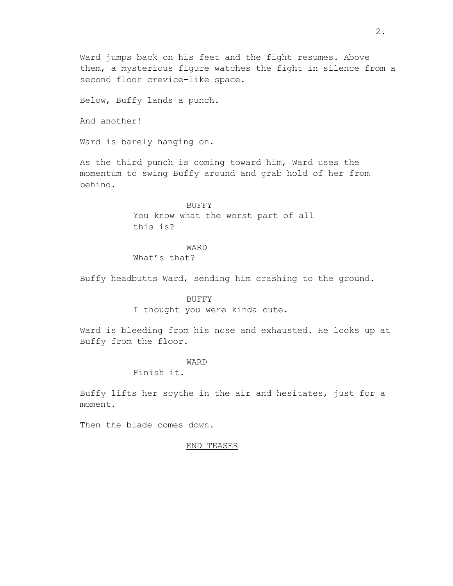Ward jumps back on his feet and the fight resumes. Above them, a mysterious figure watches the fight in silence from a second floor crevice-like space.

Below, Buffy lands a punch.

And another!

Ward is barely hanging on.

As the third punch is coming toward him, Ward uses the momentum to swing Buffy around and grab hold of her from behind.

> BUFFY You know what the worst part of all this is?

## WARD

What's that?

Buffy headbutts Ward, sending him crashing to the ground.

#### BUFFY

I thought you were kinda cute.

Ward is bleeding from his nose and exhausted. He looks up at Buffy from the floor.

# WARD

Finish it.

Buffy lifts her scythe in the air and hesitates, just for a moment.

Then the blade comes down.

#### END TEASER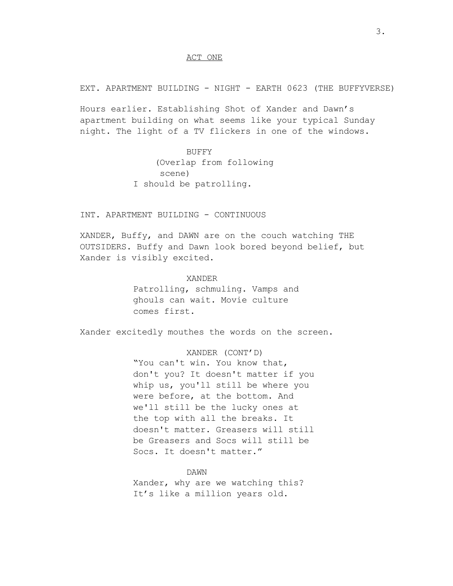#### ACT ONE

EXT. APARTMENT BUILDING - NIGHT - EARTH 0623 (THE BUFFYVERSE)

Hours earlier. Establishing Shot of Xander and Dawn's apartment building on what seems like your typical Sunday night. The light of a TV flickers in one of the windows.

> BUFFY (Overlap from following scene) I should be patrolling.

INT. APARTMENT BUILDING - CONTINUOUS

XANDER, Buffy, and DAWN are on the couch watching THE OUTSIDERS. Buffy and Dawn look bored beyond belief, but Xander is visibly excited.

> XANDER Patrolling, schmuling. Vamps and ghouls can wait. Movie culture comes first.

Xander excitedly mouthes the words on the screen.

XANDER (CONT'D) "You can't win. You know that, don't you? It doesn't matter if you whip us, you'll still be where you were before, at the bottom. And we'll still be the lucky ones at the top with all the breaks. It doesn't matter. Greasers will still be Greasers and Socs will still be Socs. It doesn't matter."

DAWN Xander, why are we watching this? It's like a million years old.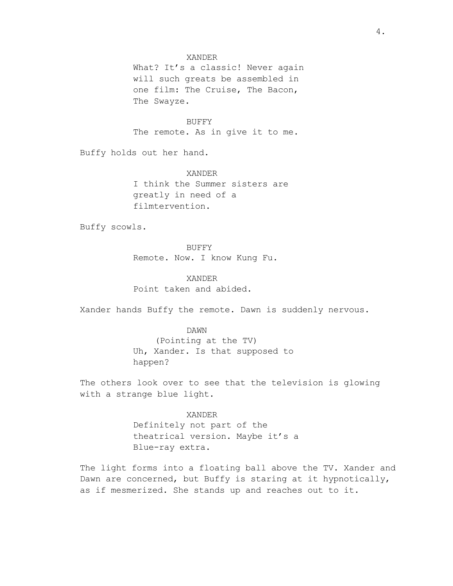# XANDER

What? It's a classic! Never again will such greats be assembled in one film: The Cruise, The Bacon, The Swayze.

BUFFY The remote. As in give it to me.

Buffy holds out her hand.

XANDER I think the Summer sisters are greatly in need of a filmtervention.

Buffy scowls.

BUFFY Remote. Now. I know Kung Fu.

XANDER Point taken and abided.

Xander hands Buffy the remote. Dawn is suddenly nervous.

#### DAWN

(Pointing at the TV) Uh, Xander. Is that supposed to happen?

The others look over to see that the television is glowing with a strange blue light.

> XANDER Definitely not part of the theatrical version. Maybe it's a Blue-ray extra.

The light forms into a floating ball above the TV. Xander and Dawn are concerned, but Buffy is staring at it hypnotically, as if mesmerized. She stands up and reaches out to it.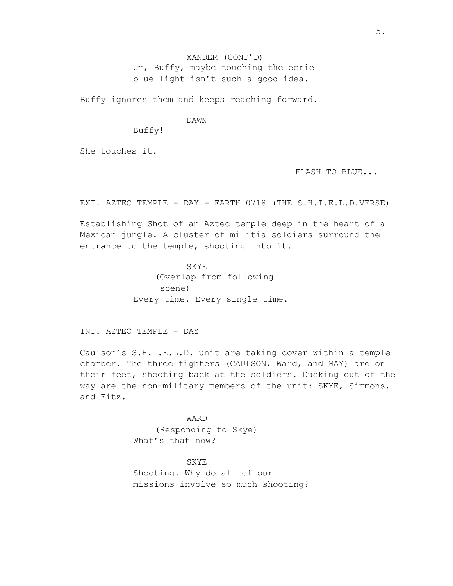XANDER (CONT'D) Um, Buffy, maybe touching the eerie blue light isn't such a good idea.

Buffy ignores them and keeps reaching forward.

#### DAWN

Buffy!

She touches it.

FLASH TO BLUE...

EXT. AZTEC TEMPLE - DAY - EARTH 0718 (THE S.H.I.E.L.D.VERSE)

Establishing Shot of an Aztec temple deep in the heart of a Mexican jungle. A cluster of militia soldiers surround the entrance to the temple, shooting into it.

> SKYE (Overlap from following scene) Every time. Every single time.

INT. AZTEC TEMPLE - DAY

Caulson's S.H.I.E.L.D. unit are taking cover within a temple chamber. The three fighters (CAULSON, Ward, and MAY) are on their feet, shooting back at the soldiers. Ducking out of the way are the non-military members of the unit: SKYE, Simmons, and Fitz.

> WARD (Responding to Skye) What's that now?

SKYE Shooting. Why do all of our missions involve so much shooting?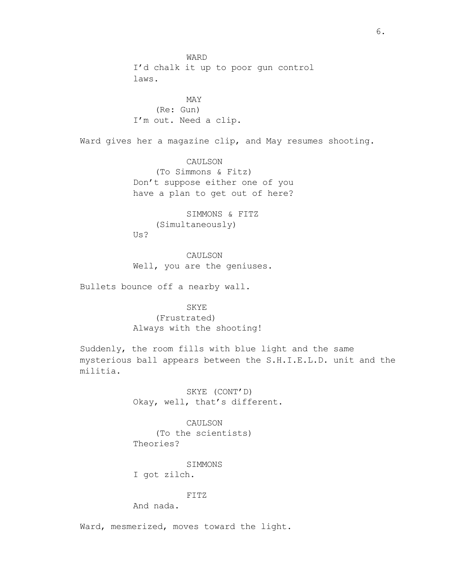WARD I'd chalk it up to poor gun control laws.

MAY (Re: Gun) I'm out. Need a clip.

Ward gives her a magazine clip, and May resumes shooting.

CAULSON (To Simmons & Fitz) Don't suppose either one of you have a plan to get out of here?

SIMMONS & FITZ (Simultaneously) Us?

CAULSON Well, you are the geniuses.

Bullets bounce off a nearby wall.

SKYE (Frustrated) Always with the shooting!

Suddenly, the room fills with blue light and the same mysterious ball appears between the S.H.I.E.L.D. unit and the militia.

> SKYE (CONT'D) Okay, well, that's different.

CAULSON (To the scientists) Theories?

SIMMONS

I got zilch.

FITZ

And nada.

Ward, mesmerized, moves toward the light.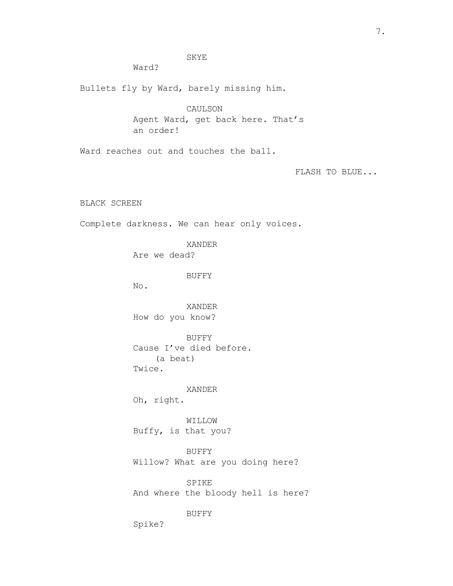7.

SKYE

Ward?

Bullets fly by Ward, barely missing him.

CAULSON Agent Ward, get back here. That's an order!

Ward reaches out and touches the ball.

FLASH TO BLUE...

BLACK SCREEN

Complete darkness. We can hear only voices.

XANDER

Are we dead?

BUFFY

No.

XANDER How do you know?

BUFFY Cause I've died before. (a beat) Twice.

XANDER Oh, right.

WILLOW Buffy, is that you?

BUFFY Willow? What are you doing here?

SPIKE And where the bloody hell is here?

BUFFY

Spike?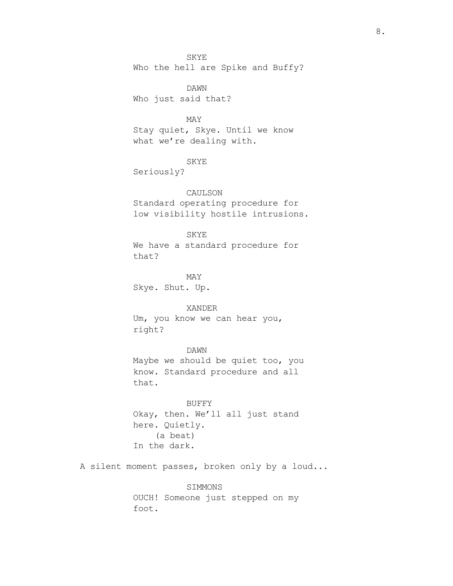SKYE Who the hell are Spike and Buffy?

DAWN Who just said that?

# MAY

Stay quiet, Skye. Until we know what we're dealing with.

#### SKYE

Seriously?

## CAULSON

Standard operating procedure for low visibility hostile intrusions.

## SKYE

We have a standard procedure for that?

MAY Skye. Shut. Up.

## XANDER

Um, you know we can hear you, right?

# DAWN

Maybe we should be quiet too, you know. Standard procedure and all that.

BUFFY Okay, then. We'll all just stand here. Quietly. (a beat) In the dark.

A silent moment passes, broken only by a loud...

SIMMONS OUCH! Someone just stepped on my foot.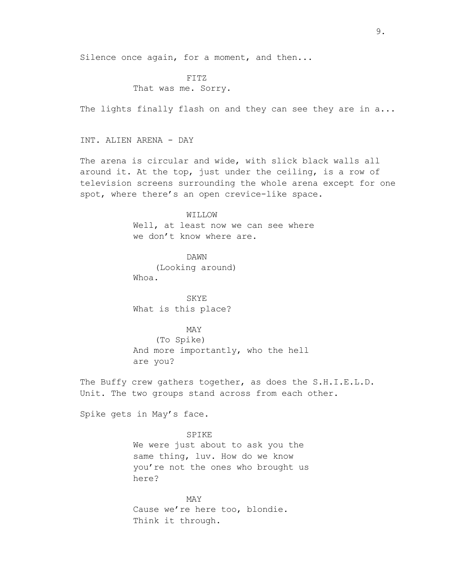Silence once again, for a moment, and then...

# FITZ

# That was me. Sorry.

The lights finally flash on and they can see they are in a...

### INT. ALIEN ARENA - DAY

The arena is circular and wide, with slick black walls all around it. At the top, just under the ceiling, is a row of television screens surrounding the whole arena except for one spot, where there's an open crevice-like space.

#### WILLOW

Well, at least now we can see where we don't know where are.

DAWN (Looking around) Whoa.

SKYE What is this place?

### MAY

(To Spike) And more importantly, who the hell are you?

The Buffy crew gathers together, as does the S.H.I.E.L.D. Unit. The two groups stand across from each other.

Spike gets in May's face.

SPIKE We were just about to ask you the same thing, luv. How do we know you're not the ones who brought us here?

MAY Cause we're here too, blondie. Think it through.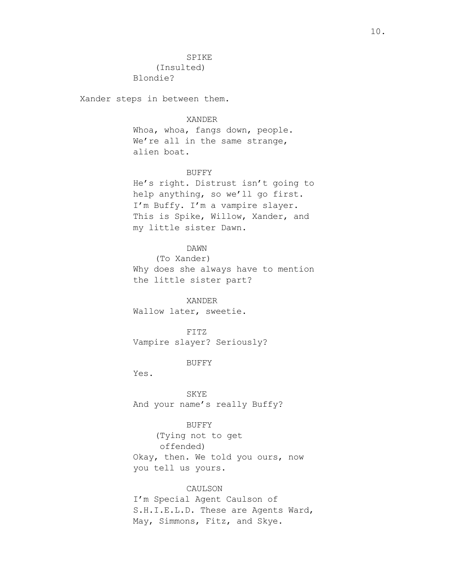(Insulted) Blondie?

Xander steps in between them.

#### XANDER

Whoa, whoa, fangs down, people. We're all in the same strange, alien boat.

#### BUFFY

He's right. Distrust isn't going to help anything, so we'll go first. I'm Buffy. I'm a vampire slayer. This is Spike, Willow, Xander, and my little sister Dawn.

# DAWN

(To Xander) Why does she always have to mention the little sister part?

XANDER Wallow later, sweetie.

FITZ Vampire slayer? Seriously?

BUFFY

Yes.

SKYE And your name's really Buffy?

# BUFFY

(Tying not to get offended) Okay, then. We told you ours, now you tell us yours.

# CAULSON

I'm Special Agent Caulson of S.H.I.E.L.D. These are Agents Ward, May, Simmons, Fitz, and Skye.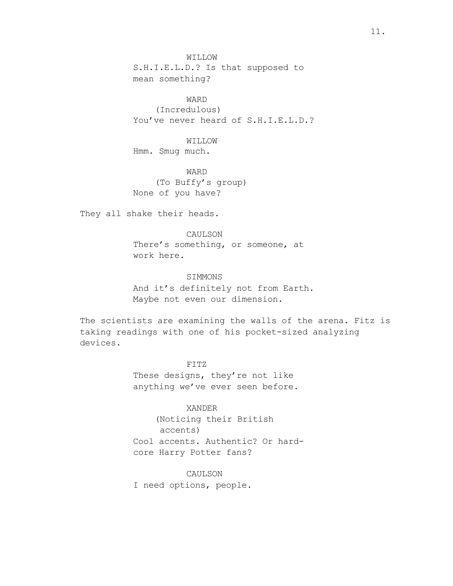WILLOW S.H.I.E.L.D.? Is that supposed to mean something?

WARD (Incredulous) You've never heard of S.H.I.E.L.D.?

WILLOW Hmm. Smug much.

WARD (To Buffy's group) None of you have?

They all shake their heads.

CAULSON There's something, or someone, at work here.

# SIMMONS

And it's definitely not from Earth. Maybe not even our dimension.

The scientists are examining the walls of the arena. Fitz is taking readings with one of his pocket-sized analyzing devices.

> FITZ These designs, they're not like anything we've ever seen before.

XANDER (Noticing their British accents) Cool accents. Authentic? Or hardcore Harry Potter fans?

CAULSON I need options, people.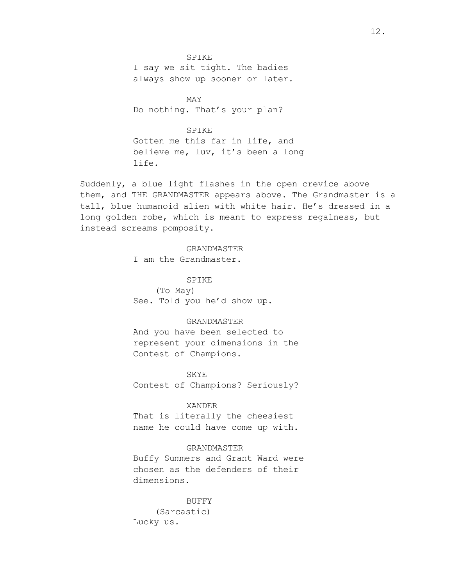SPIKE I say we sit tight. The badies always show up sooner or later.

MAY Do nothing. That's your plan?

## SPIKE

Gotten me this far in life, and believe me, luv, it's been a long life.

Suddenly, a blue light flashes in the open crevice above them, and THE GRANDMASTER appears above. The Grandmaster is a tall, blue humanoid alien with white hair. He's dressed in a long golden robe, which is meant to express regalness, but instead screams pomposity.

## GRANDMASTER

I am the Grandmaster.

SPIKE (To May) See. Told you he'd show up.

# GRANDMASTER

And you have been selected to represent your dimensions in the Contest of Champions.

## SKYE

Contest of Champions? Seriously?

#### XANDER

That is literally the cheesiest name he could have come up with.

# GRANDMASTER

Buffy Summers and Grant Ward were chosen as the defenders of their dimensions.

BUFFY (Sarcastic) Lucky us.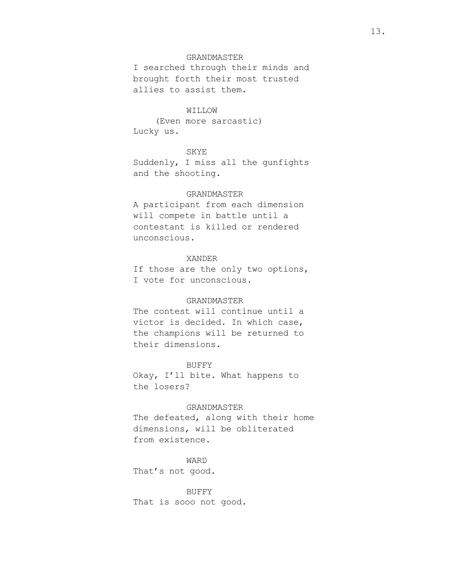# GRANDMASTER

I searched through their minds and brought forth their most trusted allies to assist them.

# WILLOW

(Even more sarcastic) Lucky us.

#### SKYE

Suddenly, I miss all the gunfights and the shooting.

#### GRANDMASTER

A participant from each dimension will compete in battle until a contestant is killed or rendered unconscious.

#### XANDER

If those are the only two options, I vote for unconscious.

### GRANDMASTER

The contest will continue until a victor is decided. In which case, the champions will be returned to their dimensions.

#### BUFFY

Okay, I'll bite. What happens to the losers?

# GRANDMASTER

The defeated, along with their home dimensions, will be obliterated from existence.

## WARD

That's not good.

#### BUFFY

That is sooo not good.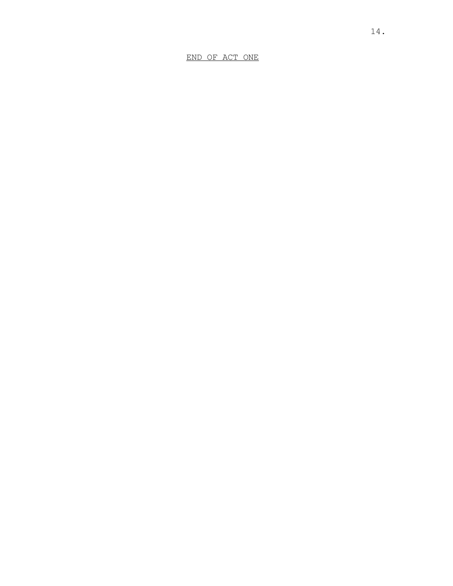END OF ACT ONE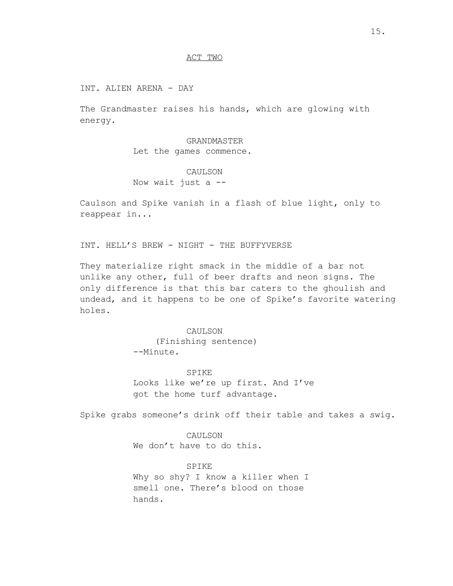## ACT TWO

INT. ALIEN ARENA - DAY

The Grandmaster raises his hands, which are glowing with energy.

> GRANDMASTER Let the games commence.

# CAULSON Now wait just  $a$  --

Caulson and Spike vanish in a flash of blue light, only to reappear in...

INT. HELL'S BREW - NIGHT - THE BUFFYVERSE

They materialize right smack in the middle of a bar not unlike any other, full of beer drafts and neon signs. The only difference is that this bar caters to the ghoulish and undead, and it happens to be one of Spike's favorite watering holes.

> CAULSON (Finishing sentence) --Minute.

SPIKE Looks like we're up first. And I've got the home turf advantage.

Spike grabs someone's drink off their table and takes a swig.

CAULSON We don't have to do this.

SPIKE Why so shy? I know a killer when I smell one. There's blood on those hands.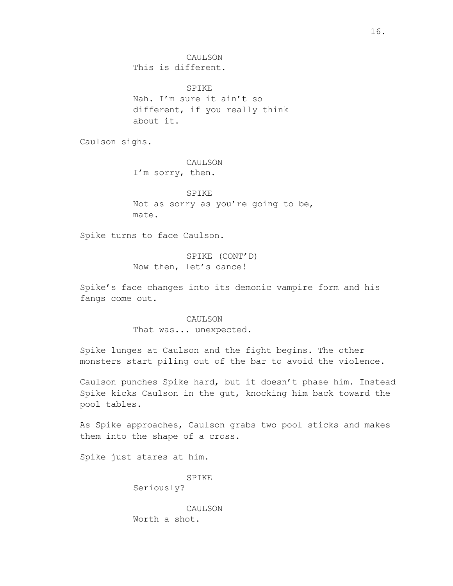CAULSON This is different.

SPIKE Nah. I'm sure it ain't so different, if you really think about it.

Caulson sighs.

CAULSON I'm sorry, then.

SPIKE Not as sorry as you're going to be, mate.

Spike turns to face Caulson.

SPIKE (CONT'D) Now then, let's dance!

Spike's face changes into its demonic vampire form and his fangs come out.

> CAULSON That was... unexpected.

Spike lunges at Caulson and the fight begins. The other monsters start piling out of the bar to avoid the violence.

Caulson punches Spike hard, but it doesn't phase him. Instead Spike kicks Caulson in the gut, knocking him back toward the pool tables.

As Spike approaches, Caulson grabs two pool sticks and makes them into the shape of a cross.

Spike just stares at him.

SPIKE Seriously?

CAULSON Worth a shot.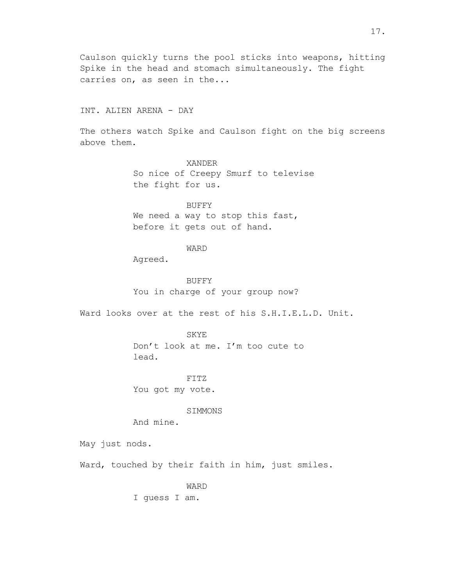Caulson quickly turns the pool sticks into weapons, hitting Spike in the head and stomach simultaneously. The fight carries on, as seen in the...

# INT. ALIEN ARENA - DAY

The others watch Spike and Caulson fight on the big screens above them.

> XANDER So nice of Creepy Smurf to televise the fight for us.

#### BUFFY

We need a way to stop this fast, before it gets out of hand.

## WARD

Agreed.

#### BUFFY

You in charge of your group now?

Ward looks over at the rest of his S.H.I.E.L.D. Unit.

SKYE

Don't look at me. I'm too cute to lead.

FITZ

You got my vote.

#### SIMMONS

And mine.

May just nods.

Ward, touched by their faith in him, just smiles.

WARD

I guess I am.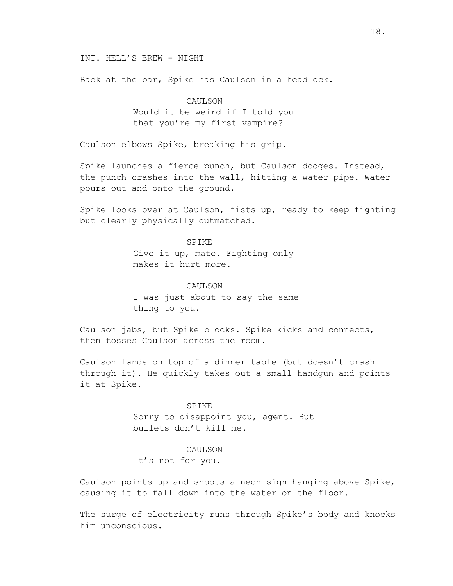INT. HELL'S BREW - NIGHT

Back at the bar, Spike has Caulson in a headlock.

# CAULSON Would it be weird if I told you that you're my first vampire?

Caulson elbows Spike, breaking his grip.

Spike launches a fierce punch, but Caulson dodges. Instead, the punch crashes into the wall, hitting a water pipe. Water pours out and onto the ground.

Spike looks over at Caulson, fists up, ready to keep fighting but clearly physically outmatched.

## SPIKE

Give it up, mate. Fighting only makes it hurt more.

#### CAULSON

I was just about to say the same thing to you.

Caulson jabs, but Spike blocks. Spike kicks and connects, then tosses Caulson across the room.

Caulson lands on top of a dinner table (but doesn't crash through it). He quickly takes out a small handgun and points it at Spike.

> SPIKE Sorry to disappoint you, agent. But bullets don't kill me.

### CAULSON

It's not for you.

Caulson points up and shoots a neon sign hanging above Spike, causing it to fall down into the water on the floor.

The surge of electricity runs through Spike's body and knocks him unconscious.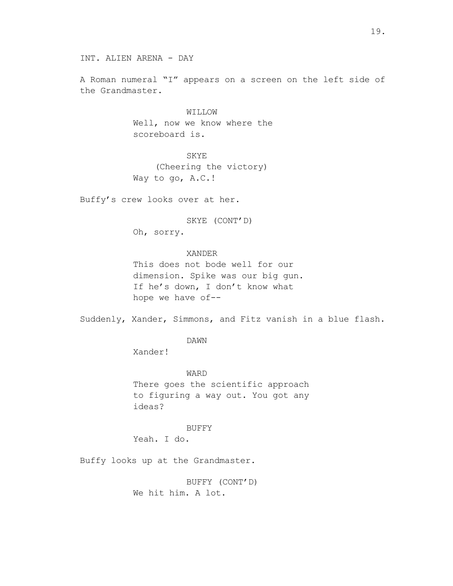A Roman numeral "I" appears on a screen on the left side of the Grandmaster.

> WILLOW Well, now we know where the scoreboard is.

SKYE (Cheering the victory) Way to go, A.C.!

Buffy's crew looks over at her.

SKYE (CONT'D) Oh, sorry.

XANDER

This does not bode well for our dimension. Spike was our big gun. If he's down, I don't know what hope we have of--

Suddenly, Xander, Simmons, and Fitz vanish in a blue flash.

DAWN

Xander!

WARD There goes the scientific approach to figuring a way out. You got any ideas?

BUFFY

Yeah. I do.

Buffy looks up at the Grandmaster.

BUFFY (CONT'D) We hit him. A lot.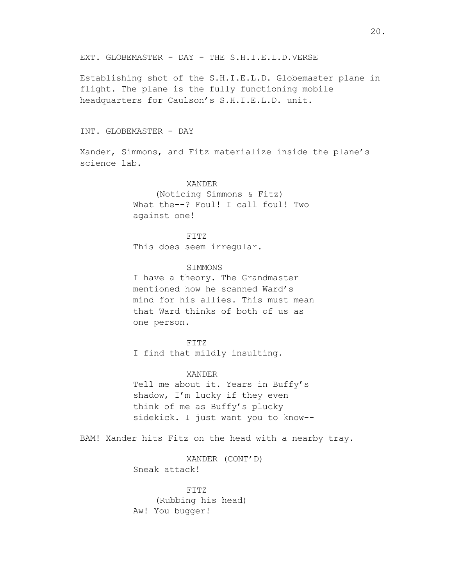EXT. GLOBEMASTER - DAY - THE S.H.I.E.L.D.VERSE

Establishing shot of the S.H.I.E.L.D. Globemaster plane in flight. The plane is the fully functioning mobile headquarters for Caulson's S.H.I.E.L.D. unit.

#### INT. GLOBEMASTER - DAY

Xander, Simmons, and Fitz materialize inside the plane's science lab.

## XANDER

(Noticing Simmons & Fitz) What the--? Foul! I call foul! Two against one!

FITZ This does seem irregular.

#### SIMMONS

I have a theory. The Grandmaster mentioned how he scanned Ward's mind for his allies. This must mean that Ward thinks of both of us as one person.

FITZ I find that mildly insulting.

### XANDER

Tell me about it. Years in Buffy's shadow, I'm lucky if they even think of me as Buffy's plucky sidekick. I just want you to know--

BAM! Xander hits Fitz on the head with a nearby tray.

XANDER (CONT'D) Sneak attack!

FITZ (Rubbing his head) Aw! You bugger!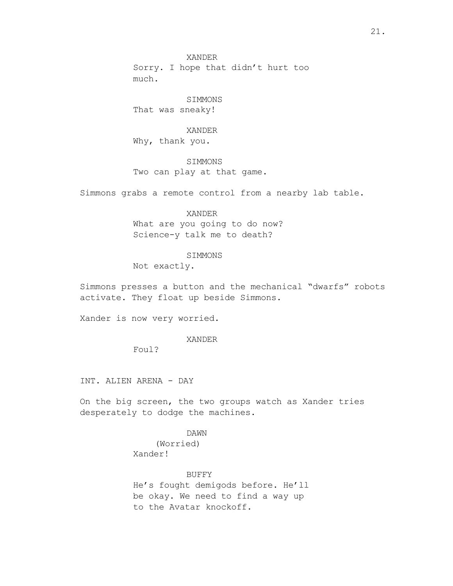SIMMONS That was sneaky!

XANDER Why, thank you.

SIMMONS Two can play at that game.

Simmons grabs a remote control from a nearby lab table.

XANDER What are you going to do now? Science-y talk me to death?

#### SIMMONS

Not exactly.

Simmons presses a button and the mechanical "dwarfs" robots activate. They float up beside Simmons.

Xander is now very worried.

XANDER

Foul?

INT. ALIEN ARENA - DAY

On the big screen, the two groups watch as Xander tries desperately to dodge the machines.

DAWN

(Worried) Xander!

BUFFY He's fought demigods before. He'll be okay. We need to find a way up to the Avatar knockoff.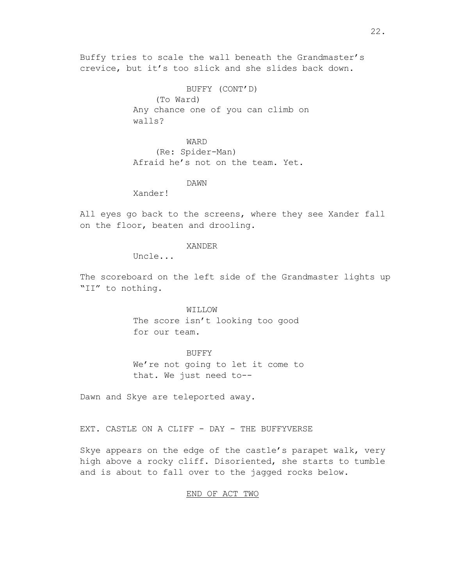Buffy tries to scale the wall beneath the Grandmaster's crevice, but it's too slick and she slides back down.

> BUFFY (CONT'D) (To Ward) Any chance one of you can climb on walls?

WARD (Re: Spider-Man) Afraid he's not on the team. Yet.

DAWN

Xander!

All eyes go back to the screens, where they see Xander fall on the floor, beaten and drooling.

#### XANDER

Uncle...

The scoreboard on the left side of the Grandmaster lights up "II" to nothing.

> WILLOW The score isn't looking too good for our team.

BUFFY We're not going to let it come to that. We just need to--

Dawn and Skye are teleported away.

EXT. CASTLE ON A CLIFF - DAY - THE BUFFYVERSE

Skye appears on the edge of the castle's parapet walk, very high above a rocky cliff. Disoriented, she starts to tumble and is about to fall over to the jagged rocks below.

#### END OF ACT TWO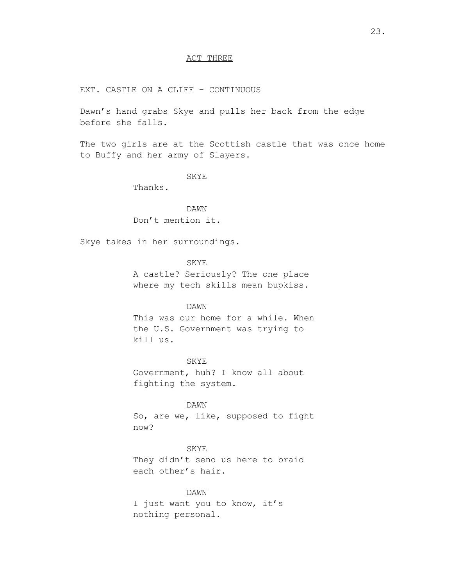# ACT THREE

EXT. CASTLE ON A CLIFF - CONTINUOUS

Dawn's hand grabs Skye and pulls her back from the edge before she falls.

The two girls are at the Scottish castle that was once home to Buffy and her army of Slayers.

### SKYE

Thanks.

DAWN Don't mention it.

Skye takes in her surroundings.

SKYE

A castle? Seriously? The one place where my tech skills mean bupkiss.

#### DAWN

This was our home for a while. When the U.S. Government was trying to kill us.

SKYE Government, huh? I know all about fighting the system.

DAWN So, are we, like, supposed to fight now?

SKYE They didn't send us here to braid each other's hair.

DAWN I just want you to know, it's nothing personal.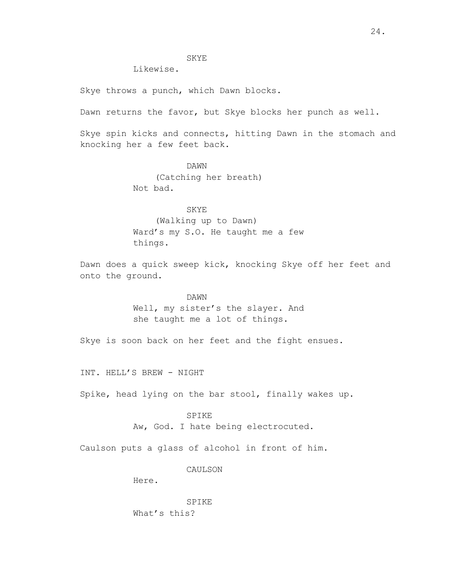## SKYE

Likewise.

Skye throws a punch, which Dawn blocks.

Dawn returns the favor, but Skye blocks her punch as well.

Skye spin kicks and connects, hitting Dawn in the stomach and knocking her a few feet back.

> DAWN (Catching her breath) Not bad.

SKYE (Walking up to Dawn) Ward's my S.O. He taught me a few things.

Dawn does a quick sweep kick, knocking Skye off her feet and onto the ground.

> DAWN Well, my sister's the slayer. And she taught me a lot of things.

Skye is soon back on her feet and the fight ensues.

INT. HELL'S BREW - NIGHT

Spike, head lying on the bar stool, finally wakes up.

#### SPIKE

Aw, God. I hate being electrocuted.

Caulson puts a glass of alcohol in front of him.

## CAULSON

Here.

SPIKE What's this?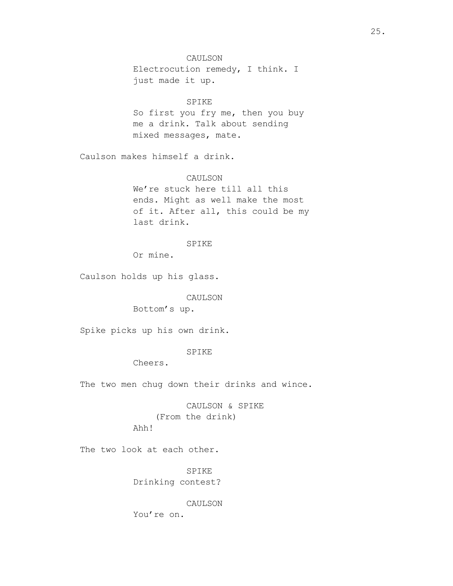# CAULSON

Electrocution remedy, I think. I just made it up.

# SPIKE

So first you fry me, then you buy me a drink. Talk about sending mixed messages, mate.

Caulson makes himself a drink.

## CAULSON

We're stuck here till all this ends. Might as well make the most of it. After all, this could be my last drink.

#### SPIKE

Or mine.

Caulson holds up his glass.

## CAULSON

Bottom's up.

Spike picks up his own drink.

## SPIKE

Cheers.

The two men chug down their drinks and wince.

CAULSON & SPIKE (From the drink) Ahh!

The two look at each other.

SPIKE Drinking contest?

CAULSON You're on.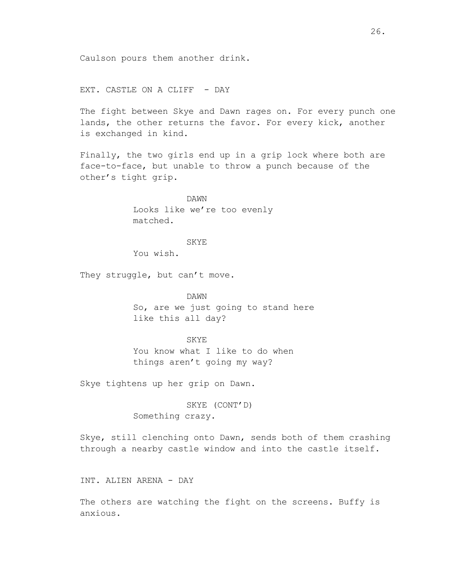EXT. CASTLE ON A CLIFF - DAY

The fight between Skye and Dawn rages on. For every punch one lands, the other returns the favor. For every kick, another is exchanged in kind.

Finally, the two girls end up in a grip lock where both are face-to-face, but unable to throw a punch because of the other's tight grip.

> DAWN Looks like we're too evenly matched.

#### SKYE

You wish.

They struggle, but can't move.

DAWN So, are we just going to stand here like this all day?

#### SKYE

You know what I like to do when things aren't going my way?

Skye tightens up her grip on Dawn.

SKYE (CONT'D) Something crazy.

Skye, still clenching onto Dawn, sends both of them crashing through a nearby castle window and into the castle itself.

INT. ALIEN ARENA - DAY

The others are watching the fight on the screens. Buffy is anxious.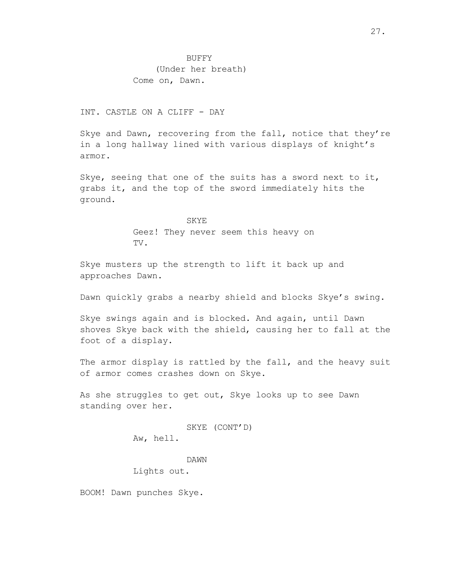# INT. CASTLE ON A CLIFF - DAY

Skye and Dawn, recovering from the fall, notice that they're in a long hallway lined with various displays of knight's armor.

Skye, seeing that one of the suits has a sword next to it, grabs it, and the top of the sword immediately hits the ground.

> SKYE Geez! They never seem this heavy on TV.

Skye musters up the strength to lift it back up and approaches Dawn.

Dawn quickly grabs a nearby shield and blocks Skye's swing.

Skye swings again and is blocked. And again, until Dawn shoves Skye back with the shield, causing her to fall at the foot of a display.

The armor display is rattled by the fall, and the heavy suit of armor comes crashes down on Skye.

As she struggles to get out, Skye looks up to see Dawn standing over her.

## SKYE (CONT'D)

Aw, hell.

DAWN

Lights out.

BOOM! Dawn punches Skye.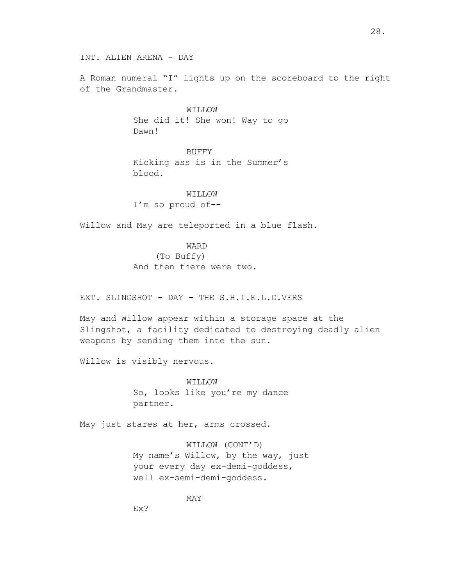INT. ALIEN ARENA - DAY

A Roman numeral "I" lights up on the scoreboard to the right of the Grandmaster.

> WILLOW She did it! She won! Way to go Dawn!

> BUFFY Kicking ass is in the Summer's blood.

WILLOW I'm so proud of--

Willow and May are teleported in a blue flash.

# WARD

(To Buffy) And then there were two.

EXT. SLINGSHOT - DAY - THE S.H.I.E.L.D.VERS

May and Willow appear within a storage space at the Slingshot, a facility dedicated to destroying deadly alien weapons by sending them into the sun.

Willow is visibly nervous.

WILLOW So, looks like you're my dance partner.

May just stares at her, arms crossed.

WILLOW (CONT'D) My name's Willow, by the way, just your every day ex-demi-goddess, well ex-semi-demi-goddess.

MAY

Ex?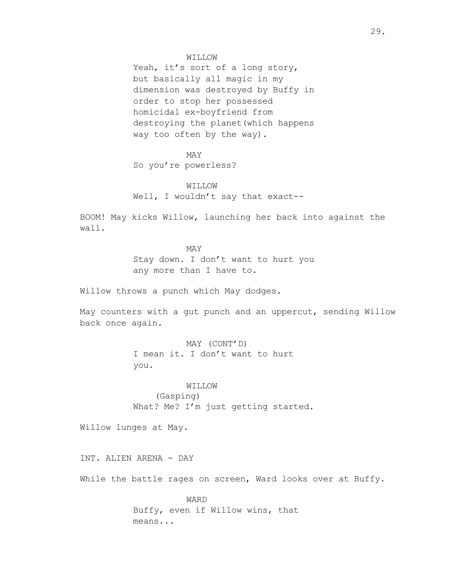#### WILLOW

Yeah, it's sort of a long story, but basically all magic in my dimension was destroyed by Buffy in order to stop her possessed homicidal ex-boyfriend from destroying the planet(which happens way too often by the way).

## MAY

So you're powerless?

# WILLOW

Well, I wouldn't say that exact--

BOOM! May kicks Willow, launching her back into against the wall.

> MAY Stay down. I don't want to hurt you any more than I have to.

Willow throws a punch which May dodges.

May counters with a gut punch and an uppercut, sending Willow back once again.

> MAY (CONT'D) I mean it. I don't want to hurt you.

WILLOW (Gasping) What? Me? I'm just getting started.

Willow lunges at May.

INT. ALIEN ARENA - DAY

While the battle rages on screen, Ward looks over at Buffy.

WARD Buffy, even if Willow wins, that means...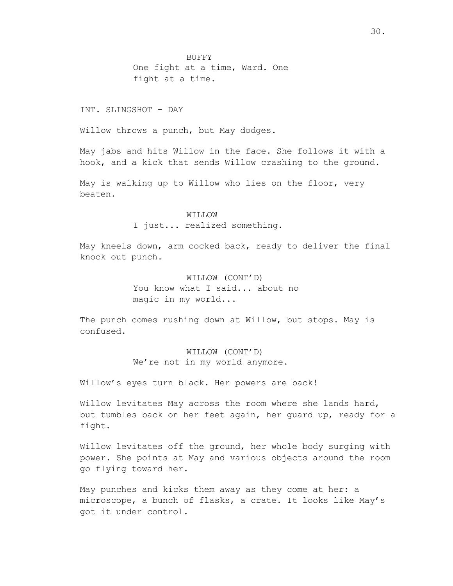BUFFY One fight at a time, Ward. One fight at a time.

# INT. SLINGSHOT - DAY

Willow throws a punch, but May dodges.

May jabs and hits Willow in the face. She follows it with a hook, and a kick that sends Willow crashing to the ground.

May is walking up to Willow who lies on the floor, very beaten.

#### WILLOW

I just... realized something.

May kneels down, arm cocked back, ready to deliver the final knock out punch.

> WILLOW (CONT'D) You know what I said... about no magic in my world...

The punch comes rushing down at Willow, but stops. May is confused.

> WILLOW (CONT'D) We're not in my world anymore.

Willow's eyes turn black. Her powers are back!

Willow levitates May across the room where she lands hard, but tumbles back on her feet again, her guard up, ready for a fight.

Willow levitates off the ground, her whole body surging with power. She points at May and various objects around the room go flying toward her.

May punches and kicks them away as they come at her: a microscope, a bunch of flasks, a crate. It looks like May's got it under control.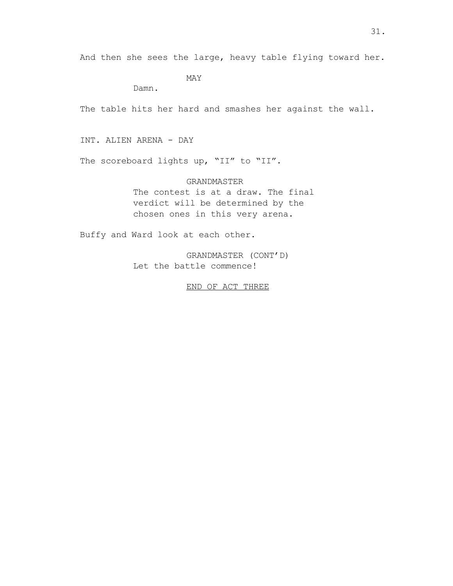And then she sees the large, heavy table flying toward her.

MAY

Damn.

The table hits her hard and smashes her against the wall.

INT. ALIEN ARENA - DAY

The scoreboard lights up, "II" to "II".

GRANDMASTER The contest is at a draw. The final verdict will be determined by the chosen ones in this very arena.

Buffy and Ward look at each other.

GRANDMASTER (CONT'D) Let the battle commence!

END OF ACT THREE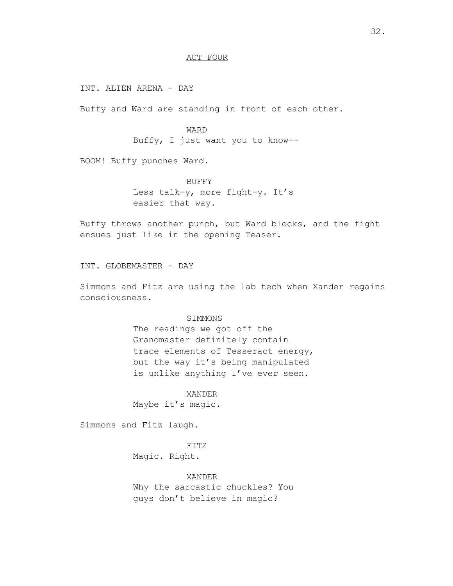## ACT FOUR

INT. ALIEN ARENA - DAY

Buffy and Ward are standing in front of each other.

WARD Buffy, I just want you to know--

BOOM! Buffy punches Ward.

BUFFY Less talk-y, more fight-y. It's easier that way.

Buffy throws another punch, but Ward blocks, and the fight ensues just like in the opening Teaser.

INT. GLOBEMASTER - DAY

Simmons and Fitz are using the lab tech when Xander regains consciousness.

#### SIMMONS

The readings we got off the Grandmaster definitely contain trace elements of Tesseract energy, but the way it's being manipulated is unlike anything I've ever seen.

XANDER Maybe it's magic.

Simmons and Fitz laugh.

FITZ Magic. Right.

XANDER Why the sarcastic chuckles? You guys don't believe in magic?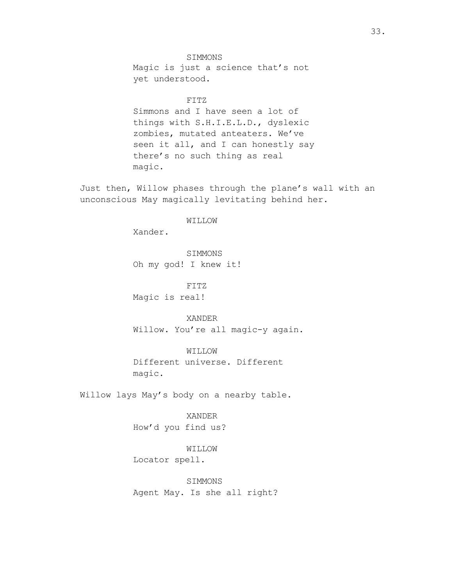SIMMONS Magic is just a science that's not yet understood.

FITZ

Simmons and I have seen a lot of things with S.H.I.E.L.D., dyslexic zombies, mutated anteaters. We've seen it all, and I can honestly say there's no such thing as real magic.

Just then, Willow phases through the plane's wall with an unconscious May magically levitating behind her.

WILLOW

Xander.

SIMMONS Oh my god! I knew it!

FITZ Magic is real!

XANDER Willow. You're all magic-y again.

WILLOW Different universe. Different magic.

Willow lays May's body on a nearby table.

XANDER How'd you find us?

WILLOW Locator spell.

SIMMONS Agent May. Is she all right?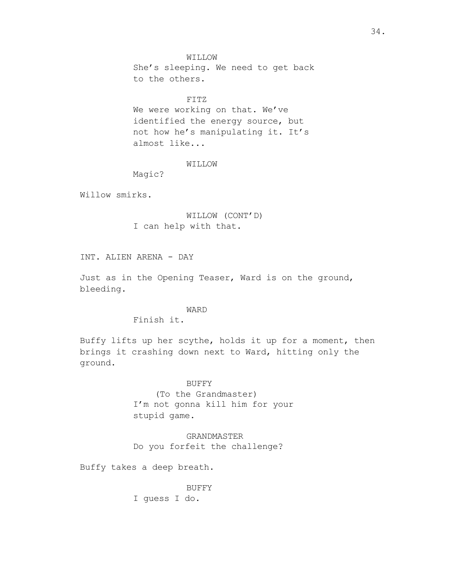WILLOW She's sleeping. We need to get back to the others.

FITZ

We were working on that. We've identified the energy source, but not how he's manipulating it. It's almost like...

# WILLOW

Magic?

Willow smirks.

# WILLOW (CONT'D) I can help with that.

INT. ALIEN ARENA - DAY

Just as in the Opening Teaser, Ward is on the ground, bleeding.

# WARD

Finish it.

Buffy lifts up her scythe, holds it up for a moment, then brings it crashing down next to Ward, hitting only the ground.

> BUFFY (To the Grandmaster) I'm not gonna kill him for your stupid game.

GRANDMASTER Do you forfeit the challenge?

Buffy takes a deep breath.

BUFFY I guess I do.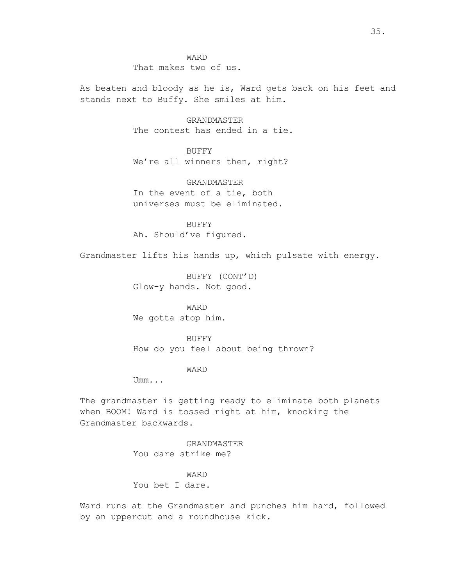WARD That makes two of us.

As beaten and bloody as he is, Ward gets back on his feet and stands next to Buffy. She smiles at him.

> GRANDMASTER The contest has ended in a tie.

BUFFY We're all winners then, right?

GRANDMASTER In the event of a tie, both universes must be eliminated.

BUFFY Ah. Should've figured.

Grandmaster lifts his hands up, which pulsate with energy.

BUFFY (CONT'D) Glow-y hands. Not good.

WARD We gotta stop him.

BUFFY How do you feel about being thrown?

## WARD

Umm...

The grandmaster is getting ready to eliminate both planets when BOOM! Ward is tossed right at him, knocking the Grandmaster backwards.

> GRANDMASTER You dare strike me?

WARD You bet I dare.

Ward runs at the Grandmaster and punches him hard, followed by an uppercut and a roundhouse kick.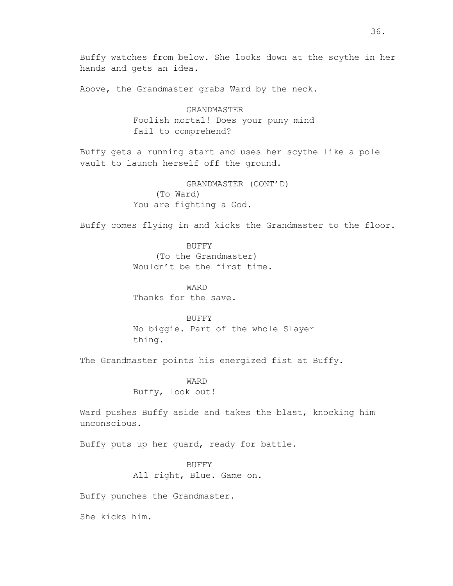Buffy watches from below. She looks down at the scythe in her hands and gets an idea.

Above, the Grandmaster grabs Ward by the neck.

GRANDMASTER Foolish mortal! Does your puny mind fail to comprehend?

Buffy gets a running start and uses her scythe like a pole vault to launch herself off the ground.

> GRANDMASTER (CONT'D) (To Ward) You are fighting a God.

Buffy comes flying in and kicks the Grandmaster to the floor.

BUFFY (To the Grandmaster) Wouldn't be the first time.

WARD Thanks for the save.

BUFFY No biggie. Part of the whole Slayer thing.

The Grandmaster points his energized fist at Buffy.

WARD Buffy, look out!

Ward pushes Buffy aside and takes the blast, knocking him unconscious.

Buffy puts up her guard, ready for battle.

BUFFY All right, Blue. Game on.

Buffy punches the Grandmaster.

She kicks him.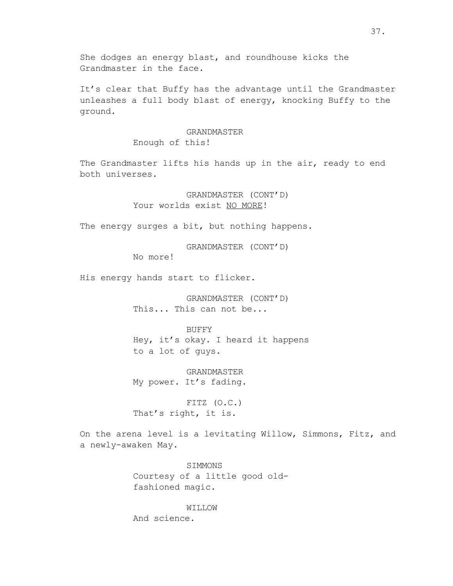She dodges an energy blast, and roundhouse kicks the Grandmaster in the face.

It's clear that Buffy has the advantage until the Grandmaster unleashes a full body blast of energy, knocking Buffy to the ground.

# GRANDMASTER

Enough of this!

The Grandmaster lifts his hands up in the air, ready to end both universes.

> GRANDMASTER (CONT'D) Your worlds exist NO MORE!

The energy surges a bit, but nothing happens.

GRANDMASTER (CONT'D)

No more!

His energy hands start to flicker.

GRANDMASTER (CONT'D) This... This can not be...

BUFFY Hey, it's okay. I heard it happens to a lot of guys.

GRANDMASTER My power. It's fading.

FITZ (O.C.) That's right, it is.

On the arena level is a levitating Willow, Simmons, Fitz, and a newly-awaken May.

> SIMMONS Courtesy of a little good oldfashioned magic.

> > WILLOW

And science.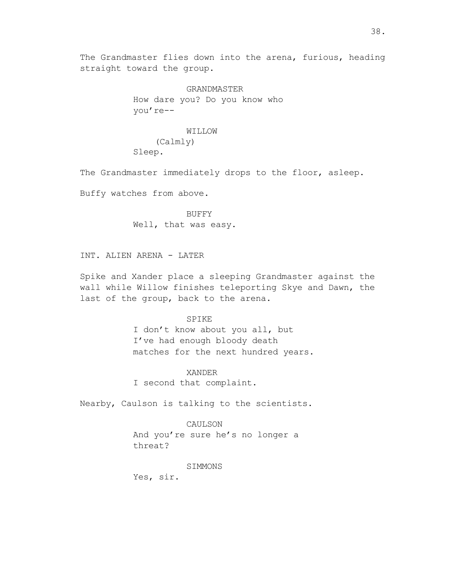The Grandmaster flies down into the arena, furious, heading straight toward the group.

> GRANDMASTER How dare you? Do you know who you're--

# WILLOW (Calmly) Sleep.

The Grandmaster immediately drops to the floor, asleep.

Buffy watches from above.

BUFFY Well, that was easy.

INT. ALIEN ARENA - LATER

Spike and Xander place a sleeping Grandmaster against the wall while Willow finishes teleporting Skye and Dawn, the last of the group, back to the arena.

### SPIKE

I don't know about you all, but I've had enough bloody death matches for the next hundred years.

#### XANDER

I second that complaint.

Nearby, Caulson is talking to the scientists.

#### CAULSON

And you're sure he's no longer a threat?

#### SIMMONS

Yes, sir.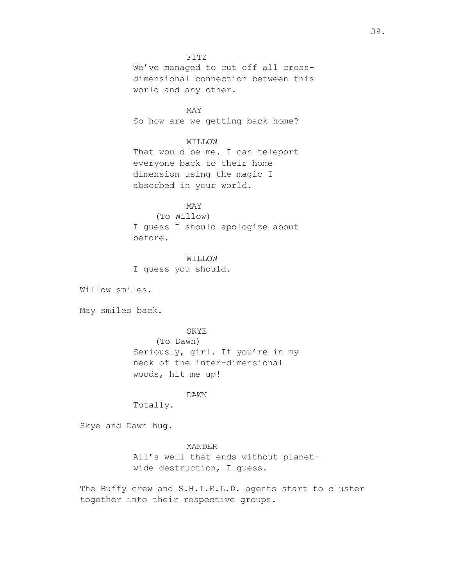### FITZ

We've managed to cut off all crossdimensional connection between this world and any other.

MAY So how are we getting back home?

### WILLOW

That would be me. I can teleport everyone back to their home dimension using the magic I absorbed in your world.

# MAY

(To Willow) I guess I should apologize about before.

WILLOW I guess you should.

Willow smiles.

May smiles back.

### SKYE

(To Dawn) Seriously, girl. If you're in my neck of the inter-dimensional woods, hit me up!

## DAWN

Totally.

Skye and Dawn hug.

#### XANDER

All's well that ends without planetwide destruction, I guess.

The Buffy crew and S.H.I.E.L.D. agents start to cluster together into their respective groups.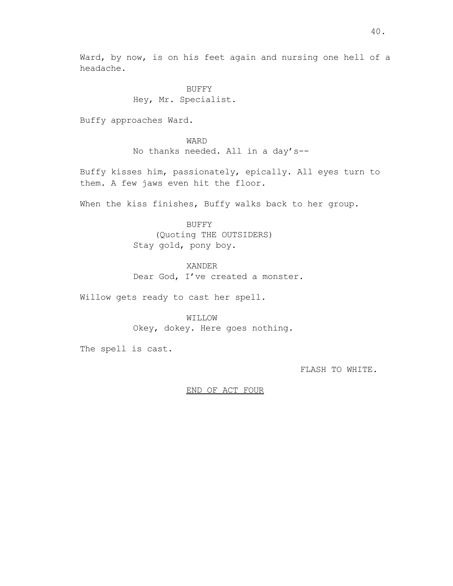Ward, by now, is on his feet again and nursing one hell of a headache.

> BUFFY Hey, Mr. Specialist.

Buffy approaches Ward.

WARD No thanks needed. All in a day's--

Buffy kisses him, passionately, epically. All eyes turn to them. A few jaws even hit the floor.

When the kiss finishes, Buffy walks back to her group.

BUFFY (Quoting THE OUTSIDERS) Stay gold, pony boy.

XANDER

Dear God, I've created a monster.

Willow gets ready to cast her spell.

WILLOW

Okey, dokey. Here goes nothing.

The spell is cast.

FLASH TO WHITE.

## END OF ACT FOUR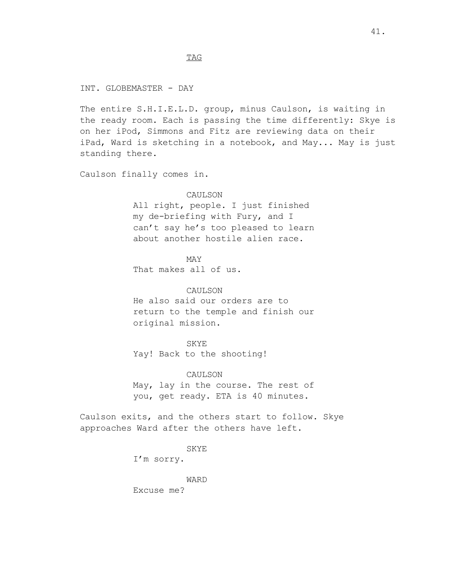TAG

INT. GLOBEMASTER - DAY

The entire S.H.I.E.L.D. group, minus Caulson, is waiting in the ready room. Each is passing the time differently: Skye is on her iPod, Simmons and Fitz are reviewing data on their iPad, Ward is sketching in a notebook, and May... May is just standing there.

Caulson finally comes in.

# CAULSON

All right, people. I just finished my de-briefing with Fury, and I can't say he's too pleased to learn about another hostile alien race.

MAY That makes all of us.

#### CAULSON

He also said our orders are to return to the temple and finish our original mission.

SKYE Yay! Back to the shooting!

CAULSON May, lay in the course. The rest of you, get ready. ETA is 40 minutes.

Caulson exits, and the others start to follow. Skye approaches Ward after the others have left.

SKYE

I'm sorry.

WARD Excuse me?